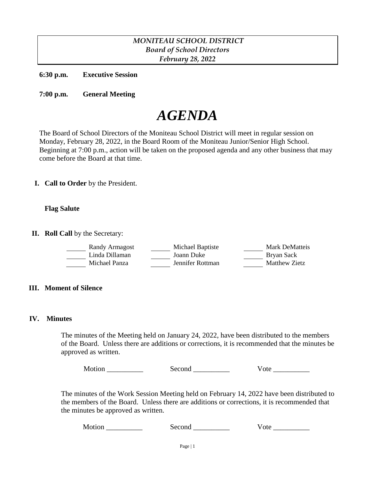# *MONITEAU SCHOOL DISTRICT Board of School Directors February 28, 2022*

**6:30 p.m. Executive Session**

**7:00 p.m. General Meeting**

# *AGENDA*

The Board of School Directors of the Moniteau School District will meet in regular session on Monday, February 28, 2022, in the Board Room of the Moniteau Junior/Senior High School. Beginning at 7:00 p.m., action will be taken on the proposed agenda and any other business that may come before the Board at that time.

**I. Call to Order** by the President.

## **Flag Salute**

**II. Roll Call** by the Secretary:

| Randy Armagost | Michael Baptiste | Mark DeMatteis |
|----------------|------------------|----------------|
| Linda Dillaman | Joann Duke       | Bryan Sack     |
| Michael Panza  | Jennifer Rottman | Matthew Zietz  |

## **III. Moment of Silence**

## **IV. Minutes**

The minutes of the Meeting held on January 24, 2022, have been distributed to the members of the Board. Unless there are additions or corrections, it is recommended that the minutes be approved as written.

Motion \_\_\_\_\_\_\_\_\_\_ Second \_\_\_\_\_\_\_\_\_\_ Vote \_\_\_\_\_\_\_\_\_\_

The minutes of the Work Session Meeting held on February 14, 2022 have been distributed to the members of the Board. Unless there are additions or corrections, it is recommended that the minutes be approved as written.

Motion Second Vote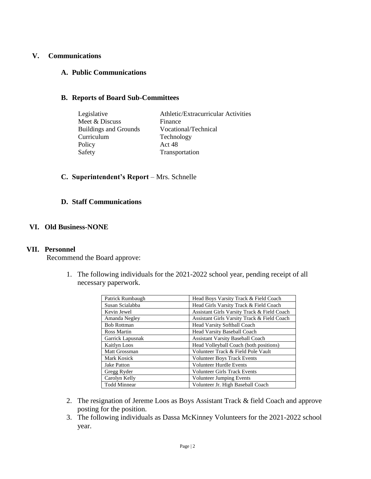## **V. Communications**

## **A. Public Communications**

# **B. Reports of Board Sub-Committees**

| Athletic/Extracurricular Activities |
|-------------------------------------|
| Finance                             |
| Vocational/Technical                |
| Technology                          |
| Act 48                              |
| Transportation                      |
|                                     |

# **C. Superintendent's Report** – Mrs. Schnelle

#### **D. Staff Communications**

# **VI. Old Business-NONE**

#### **VII. Personnel**

Recommend the Board approve:

1. The following individuals for the 2021-2022 school year, pending receipt of all necessary paperwork.

| Patrick Rumbaugh    | Head Boys Varsity Track & Field Coach       |
|---------------------|---------------------------------------------|
| Susan Scialabba     | Head Girls Varsity Track & Field Coach      |
| Kevin Jewel         | Assistant Girls Varsity Track & Field Coach |
| Amanda Negley       | Assistant Girls Varsity Track & Field Coach |
| <b>Bob Rottman</b>  | Head Varsity Softball Coach                 |
| Ross Martin         | Head Varsity Baseball Coach                 |
| Garrick Lapusnak    | <b>Assistant Varsity Baseball Coach</b>     |
| <b>Kaitlyn Loos</b> | Head Volleyball Coach (both positions)      |
| Matt Grossman       | Volunteer Track & Field Pole Vault          |
| Mark Kosick         | <b>Volunteer Boys Track Events</b>          |
| <b>Jake Patton</b>  | <b>Volunteer Hurdle Events</b>              |
| Gregg Ryder         | <b>Volunteer Girls Track Events</b>         |
| Carolyn Kelly       | <b>Volunteer Jumping Events</b>             |
| <b>Todd Minnear</b> | Volunteer Jr. High Baseball Coach           |

- 2. The resignation of Jereme Loos as Boys Assistant Track & field Coach and approve posting for the position.
- 3. The following individuals as Dassa McKinney Volunteers for the 2021-2022 school year.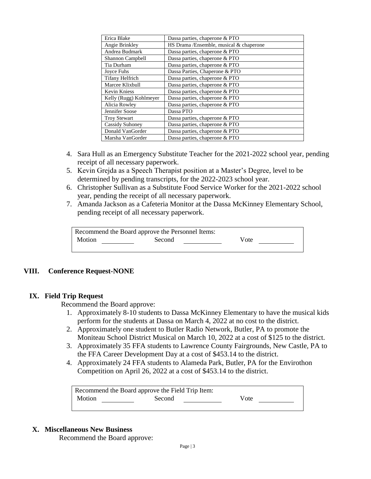| Erica Blake            | Dassa parties, chaperone & PTO          |
|------------------------|-----------------------------------------|
| Angie Brinkley         | HS Drama /Ensemble, musical & chaperone |
| Andrea Budmark         | Dassa parties, chaperone & PTO          |
| Shannon Campbell       | Dassa parties, chaperone & PTO          |
| Tia Durham             | Dassa parties, chaperone & PTO          |
| Joyce Fuhs             | Dassa Parties, Chaperone & PTO          |
| <b>Tifany Helfrich</b> | Dassa parties, chaperone & PTO          |
| Marcee Klixbull        | Dassa parties, chaperone & PTO          |
| <b>Kevin Kniess</b>    | Dassa parties, chaperone & PTO          |
| Kelly (Rugg) Kohlmeyer | Dassa parties, chaperone & PTO          |
| Alicia Rowley          | Dassa parties, chaperone & PTO          |
| Jennifer Soose         | Dassa PTO                               |
| <b>Troy Stewart</b>    | Dassa parties, chaperone & PTO          |
| Cassidy Suhoney        | Dassa parties, chaperone & PTO          |
| Donald VanGorder       | Dassa parties, chaperone & PTO          |
| Marsha VanGorder       | Dassa parties, chaperone & PTO          |

- 4. Sara Hull as an Emergency Substitute Teacher for the 2021-2022 school year, pending receipt of all necessary paperwork.
- 5. Kevin Grejda as a Speech Therapist position at a Master's Degree, level to be determined by pending transcripts, for the 2022-2023 school year.
- 6. Christopher Sullivan as a Substitute Food Service Worker for the 2021-2022 school year, pending the receipt of all necessary paperwork.
- 7. Amanda Jackson as a Cafeteria Monitor at the Dassa McKinney Elementary School, pending receipt of all necessary paperwork.

| Recommend the Board approve the Personnel Items: |        |      |  |
|--------------------------------------------------|--------|------|--|
| Motion                                           | Second | Vote |  |
|                                                  |        |      |  |

# **VIII. Conference Request-NONE**

#### **IX. Field Trip Request**

Recommend the Board approve:

- 1. Approximately 8-10 students to Dassa McKinney Elementary to have the musical kids perform for the students at Dassa on March 4, 2022 at no cost to the district.
- 2. Approximately one student to Butler Radio Network, Butler, PA to promote the Moniteau School District Musical on March 10, 2022 at a cost of \$125 to the district.
- 3. Approximately 35 FFA students to Lawrence County Fairgrounds, New Castle, PA to the FFA Career Development Day at a cost of \$453.14 to the district.
- 4. Approximately 24 FFA students to Alameda Park, Butler, PA for the Envirothon Competition on April 26, 2022 at a cost of \$453.14 to the district.

| Recommend the Board approve the Field Trip Item: |        |      |  |
|--------------------------------------------------|--------|------|--|
| Motion                                           | Second | Vote |  |
|                                                  |        |      |  |

#### **X. Miscellaneous New Business**

Recommend the Board approve: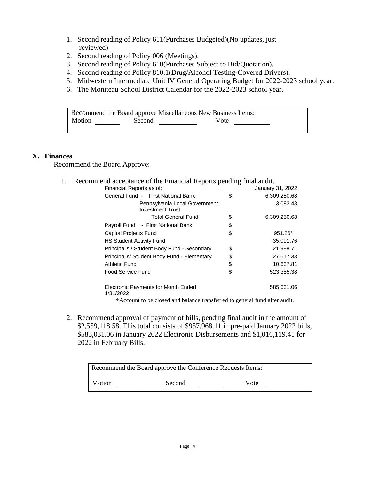- 1. Second reading of Policy 611(Purchases Budgeted)(No updates, just reviewed)
- 2. Second reading of Policy 006 (Meetings).
- 3. Second reading of Policy 610(Purchases Subject to Bid/Quotation).
- 4. Second reading of Policy 810.1(Drug/Alcohol Testing-Covered Drivers).
- 5. Midwestern Intermediate Unit IV General Operating Budget for 2022-2023 school year.
- 6. The Moniteau School District Calendar for the 2022-2023 school year.

| Recommend the Board approve Miscellaneous New Business Items: |        |      |  |
|---------------------------------------------------------------|--------|------|--|
| Motion                                                        | Second | Vote |  |

#### **X. Finances**

Recommend the Board Approve:

1. Recommend acceptance of the Financial Reports pending final audit.

| Financial Reports as of:                                 | January 31, 2022   |
|----------------------------------------------------------|--------------------|
| General Fund - First National Bank                       | \$<br>6,309,250.68 |
| Pennsylvania Local Government<br><b>Investment Trust</b> | 3,083.43           |
| <b>Total General Fund</b>                                | \$<br>6,309,250.68 |
| Payroll Fund - First National Bank                       | \$                 |
| <b>Capital Projects Fund</b>                             | \$<br>951.26*      |
| <b>HS Student Activity Fund</b>                          | 35.091.76          |
| Principal's / Student Body Fund - Secondary              | \$<br>21,998.71    |
| Principal's/ Student Body Fund - Elementary              | \$<br>27,617.33    |
| Athletic Fund                                            | \$<br>10.637.81    |
| Food Service Fund                                        | \$<br>523.385.38   |
| Electronic Payments for Month Ended<br>1/31/2022         | 585,031.06         |

\*Account to be closed and balance transferred to general fund after audit.

2. Recommend approval of payment of bills, pending final audit in the amount of \$2,559,118.58. This total consists of \$957,968.11 in pre-paid January 2022 bills, \$585,031.06 in January 2022 Electronic Disbursements and \$1,016,119.41 for 2022 in February Bills.

| Recommend the Board approve the Conference Requests Items: |        |      |
|------------------------------------------------------------|--------|------|
| Motion                                                     | Second | Vote |